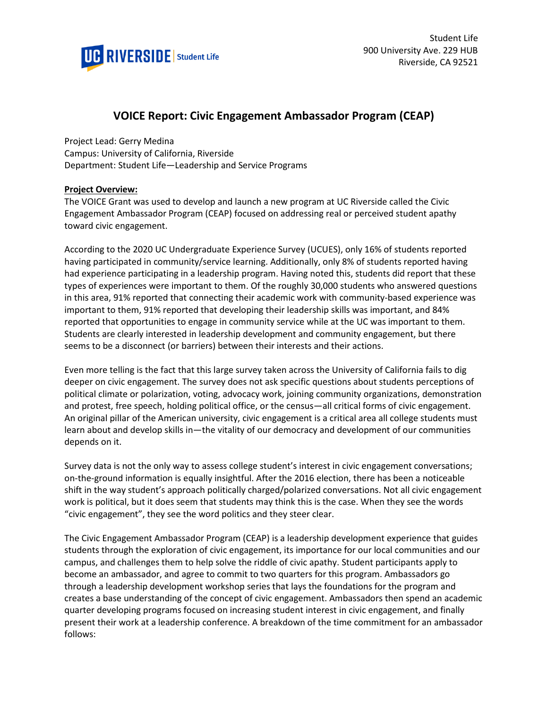

# **VOICE Report: Civic Engagement Ambassador Program (CEAP)**

Project Lead: Gerry Medina

Campus: University of California, Riverside Department: Student Life—Leadership and Service Programs

# **Project Overview:**

The VOICE Grant was used to develop and launch a new program at UC Riverside called the Civic Engagement Ambassador Program (CEAP) focused on addressing real or perceived student apathy toward civic engagement.

According to the 2020 UC Undergraduate Experience Survey (UCUES), only 16% of students reported having participated in community/service learning. Additionally, only 8% of students reported having had experience participating in a leadership program. Having noted this, students did report that these types of experiences were important to them. Of the roughly 30,000 students who answered questions in this area, 91% reported that connecting their academic work with community-based experience was important to them, 91% reported that developing their leadership skills was important, and 84% reported that opportunities to engage in community service while at the UC was important to them. Students are clearly interested in leadership development and community engagement, but there seems to be a disconnect (or barriers) between their interests and their actions.

Even more telling is the fact that this large survey taken across the University of California fails to dig deeper on civic engagement. The survey does not ask specific questions about students perceptions of political climate or polarization, voting, advocacy work, joining community organizations, demonstration and protest, free speech, holding political office, or the census—all critical forms of civic engagement. An original pillar of the American university, civic engagement is a critical area all college students must learn about and develop skills in—the vitality of our democracy and development of our communities depends on it.

Survey data is not the only way to assess college student's interest in civic engagement conversations; on-the-ground information is equally insightful. After the 2016 election, there has been a noticeable shift in the way student's approach politically charged/polarized conversations. Not all civic engagement work is political, but it does seem that students may think this is the case. When they see the words "civic engagement", they see the word politics and they steer clear.

The Civic Engagement Ambassador Program (CEAP) is a leadership development experience that guides students through the exploration of civic engagement, its importance for our local communities and our campus, and challenges them to help solve the riddle of civic apathy. Student participants apply to become an ambassador, and agree to commit to two quarters for this program. Ambassadors go through a leadership development workshop series that lays the foundations for the program and creates a base understanding of the concept of civic engagement. Ambassadors then spend an academic quarter developing programs focused on increasing student interest in civic engagement, and finally present their work at a leadership conference. A breakdown of the time commitment for an ambassador follows: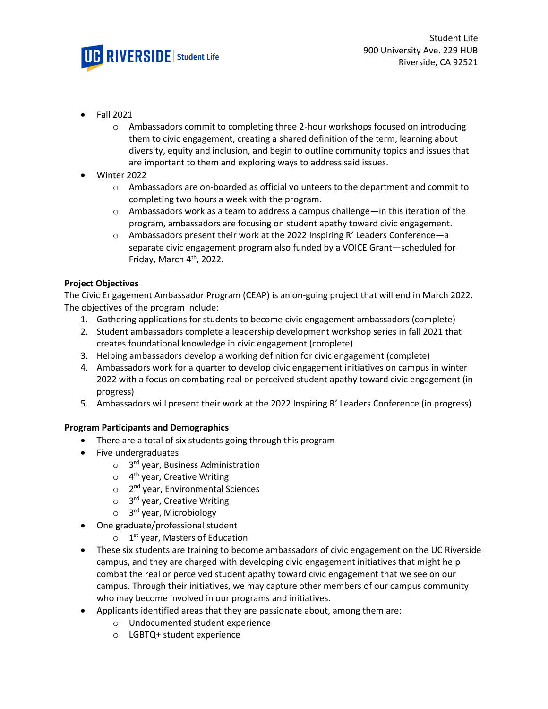

- Fall 2021
	- o Ambassadors commit to completing three 2-hour workshops focused on introducing them to civic engagement, creating a shared definition of the term, learning about diversity, equity and inclusion, and begin to outline community topics and issues that are important to them and exploring ways to address said issues.
- Winter 2022
	- o Ambassadors are on-boarded as official volunteers to the department and commit to completing two hours a week with the program.
	- $\circ$  Ambassadors work as a team to address a campus challenge—in this iteration of the program, ambassadors are focusing on student apathy toward civic engagement.
	- o Ambassadors present their work at the 2022 Inspiring R' Leaders Conference—a separate civic engagement program also funded by a VOICE Grant—scheduled for Friday, March 4<sup>th</sup>, 2022.

# **Project Objectives**

The Civic Engagement Ambassador Program (CEAP) is an on-going project that will end in March 2022. The objectives of the program include:

- 1. Gathering applications for students to become civic engagement ambassadors (complete)
- 2. Student ambassadors complete a leadership development workshop series in fall 2021 that creates foundational knowledge in civic engagement (complete)
- 3. Helping ambassadors develop a working definition for civic engagement (complete)
- 4. Ambassadors work for a quarter to develop civic engagement initiatives on campus in winter 2022 with a focus on combating real or perceived student apathy toward civic engagement (in progress)
- 5. Ambassadors will present their work at the 2022 Inspiring R' Leaders Conference (in progress)

## **Program Participants and Demographics**

- There are a total of six students going through this program
- Five undergraduates
	- o 3<sup>rd</sup> year, Business Administration
	- 4<sup>th</sup> year, Creative Writing
	- o 2<sup>nd</sup> year, Environmental Sciences
	- o 3<sup>rd</sup> year, Creative Writing
	- o 3<sup>rd</sup> year, Microbiology
- One graduate/professional student
	- $\circ$  1<sup>st</sup> year, Masters of Education
- These six students are training to become ambassadors of civic engagement on the UC Riverside campus, and they are charged with developing civic engagement initiatives that might help combat the real or perceived student apathy toward civic engagement that we see on our campus. Through their initiatives, we may capture other members of our campus community who may become involved in our programs and initiatives.
- Applicants identified areas that they are passionate about, among them are:
	- o Undocumented student experience
	- o LGBTQ+ student experience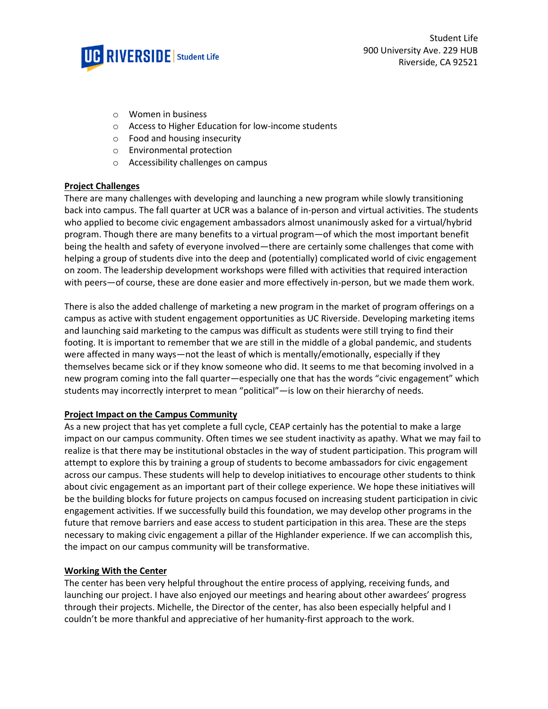

- o Women in business
- o Access to Higher Education for low-income students
- o Food and housing insecurity
- o Environmental protection
- o Accessibility challenges on campus

### **Project Challenges**

There are many challenges with developing and launching a new program while slowly transitioning back into campus. The fall quarter at UCR was a balance of in-person and virtual activities. The students who applied to become civic engagement ambassadors almost unanimously asked for a virtual/hybrid program. Though there are many benefits to a virtual program—of which the most important benefit being the health and safety of everyone involved—there are certainly some challenges that come with helping a group of students dive into the deep and (potentially) complicated world of civic engagement on zoom. The leadership development workshops were filled with activities that required interaction with peers—of course, these are done easier and more effectively in-person, but we made them work.

There is also the added challenge of marketing a new program in the market of program offerings on a campus as active with student engagement opportunities as UC Riverside. Developing marketing items and launching said marketing to the campus was difficult as students were still trying to find their footing. It is important to remember that we are still in the middle of a global pandemic, and students were affected in many ways—not the least of which is mentally/emotionally, especially if they themselves became sick or if they know someone who did. It seems to me that becoming involved in a new program coming into the fall quarter—especially one that has the words "civic engagement" which students may incorrectly interpret to mean "political"—is low on their hierarchy of needs.

#### **Project Impact on the Campus Community**

As a new project that has yet complete a full cycle, CEAP certainly has the potential to make a large impact on our campus community. Often times we see student inactivity as apathy. What we may fail to realize is that there may be institutional obstacles in the way of student participation. This program will attempt to explore this by training a group of students to become ambassadors for civic engagement across our campus. These students will help to develop initiatives to encourage other students to think about civic engagement as an important part of their college experience. We hope these initiatives will be the building blocks for future projects on campus focused on increasing student participation in civic engagement activities. If we successfully build this foundation, we may develop other programs in the future that remove barriers and ease access to student participation in this area. These are the steps necessary to making civic engagement a pillar of the Highlander experience. If we can accomplish this, the impact on our campus community will be transformative.

#### **Working With the Center**

The center has been very helpful throughout the entire process of applying, receiving funds, and launching our project. I have also enjoyed our meetings and hearing about other awardees' progress through their projects. Michelle, the Director of the center, has also been especially helpful and I couldn't be more thankful and appreciative of her humanity-first approach to the work.